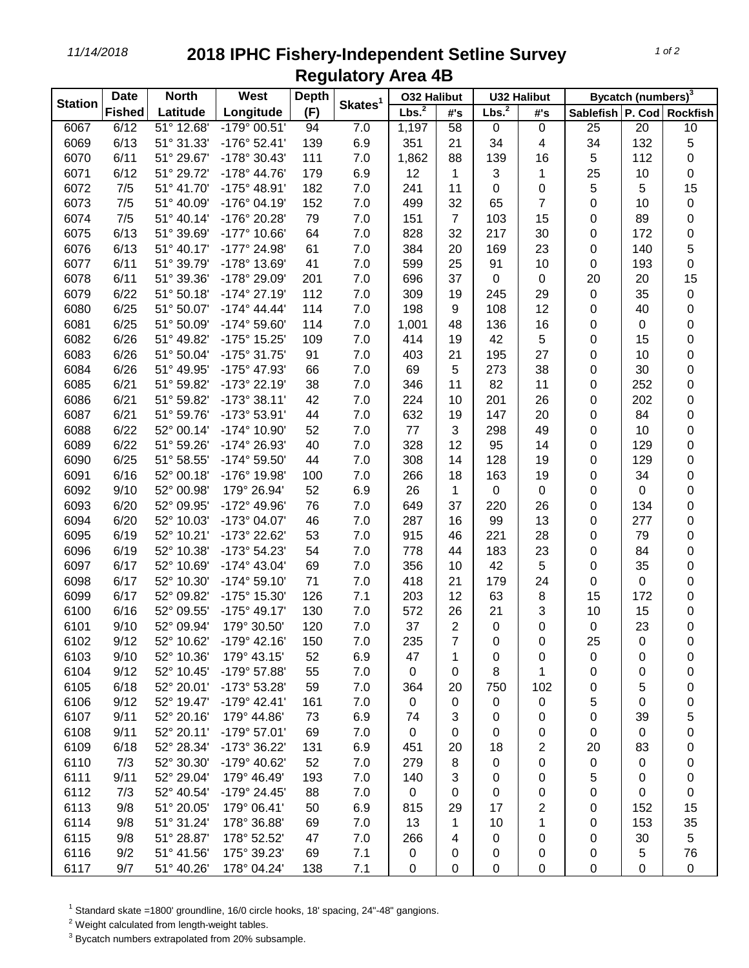## *11/14/2018* **2018 IPHC Fishery-Independent Setline Survey Regulatory Area 4B**

| <b>Station</b> | <b>Date</b><br><b>North</b> |            | <b>West</b>           | <b>Depth</b> |                     | <b>032 Halibut</b> |                 | <b>U32 Halibut</b> |             | Bycatch (numbers) <sup>3</sup> |                 |             |
|----------------|-----------------------------|------------|-----------------------|--------------|---------------------|--------------------|-----------------|--------------------|-------------|--------------------------------|-----------------|-------------|
|                | <b>Fished</b>               | Latitude   | Longitude             | (F)          | Skates <sup>1</sup> | Lbs. <sup>2</sup>  | #'s             | Lbs. <sup>2</sup>  | #'s         | Sablefish P. Cod Rockfish      |                 |             |
| 6067           | 6/12                        | 51° 12.68' | $-179°00.51'$         | 94           | 7.0                 | 1,197              | $\overline{58}$ | 0                  | $\mathbf 0$ | 25                             | $\overline{20}$ | 10          |
| 6069           | 6/13                        | 51° 31.33' | $-176°52.41'$         | 139          | 6.9                 | 351                | 21              | 34                 | 4           | 34                             | 132             | $\mathbf 5$ |
| 6070           | 6/11                        | 51° 29.67' | -178° 30.43'          | 111          | 7.0                 | 1,862              | 88              | 139                | 16          | 5                              | 112             | 0           |
| 6071           | 6/12                        | 51° 29.72' | $-178^{\circ}$ 44.76' | 179          | 6.9                 | 12                 | 1               | 3                  | 1           | 25                             | 10              | 0           |
| 6072           | 7/5                         | 51° 41.70' | -175° 48.91'          | 182          | 7.0                 | 241                | 11              | 0                  | $\pmb{0}$   | 5                              | 5               | 15          |
| 6073           | 7/5                         | 51° 40.09' | -176° 04.19'          | 152          | 7.0                 | 499                | 32              | 65                 | 7           | 0                              | 10              | $\pmb{0}$   |
| 6074           | 7/5                         | 51° 40.14' | -176° 20.28'          | 79           | 7.0                 | 151                | $\overline{7}$  | 103                | 15          | 0                              | 89              | 0           |
| 6075           | 6/13                        | 51° 39.69' | -177° 10.66'          | 64           | 7.0                 | 828                | 32              | 217                | 30          | 0                              | 172             | 0           |
| 6076           | 6/13                        | 51° 40.17' | -177° 24.98'          | 61           | 7.0                 | 384                | 20              | 169                | 23          | 0                              | 140             | $\mathbf 5$ |
| 6077           | 6/11                        | 51° 39.79' | -178° 13.69'          | 41           | 7.0                 | 599                | 25              | 91                 | 10          | 0                              | 193             | $\mathsf 0$ |
| 6078           | 6/11                        | 51° 39.36' | -178° 29.09'          | 201          | 7.0                 | 696                | 37              | 0                  | 0           | 20                             | 20              | 15          |
| 6079           | 6/22                        | 51° 50.18' | $-174^{\circ}$ 27.19' | 112          | 7.0                 | 309                | 19              | 245                | 29          | 0                              | 35              | 0           |
| 6080           | 6/25                        | 51° 50.07' | $-174^{\circ}$ 44.44' | 114          | 7.0                 | 198                | 9               | 108                | 12          | 0                              | 40              | 0           |
| 6081           | 6/25                        | 51° 50.09' | $-174^{\circ} 59.60'$ | 114          | 7.0                 | 1,001              | 48              | 136                | 16          | 0                              | 0               | 0           |
| 6082           | 6/26                        | 51° 49.82' | -175° 15.25'          | 109          | 7.0                 | 414                | 19              | 42                 | 5           | 0                              | 15              | 0           |
| 6083           | 6/26                        | 51° 50.04' | -175° 31.75'          | 91           | 7.0                 | 403                | 21              | 195                | 27          | 0                              | 10              | $\pmb{0}$   |
| 6084           | 6/26                        | 51° 49.95' | -175° 47.93'          | 66           | 7.0                 | 69                 | 5               | 273                | 38          | 0                              | 30              | 0           |
| 6085           | 6/21                        | 51° 59.82' | -173° 22.19'          | 38           | 7.0                 | 346                | 11              | 82                 | 11          | 0                              | 252             | $\pmb{0}$   |
| 6086           | 6/21                        | 51° 59.82' | $-173°38.11'$         | 42           | 7.0                 | 224                | 10              | 201                | 26          | 0                              | 202             | $\pmb{0}$   |
| 6087           | 6/21                        | 51° 59.76' | -173° 53.91'          | 44           | 7.0                 | 632                | 19              | 147                | 20          | 0                              | 84              | 0           |
| 6088           | 6/22                        | 52° 00.14' | -174° 10.90'          | 52           | 7.0                 | 77                 | 3               | 298                | 49          | 0                              | 10              | 0           |
| 6089           | 6/22                        | 51° 59.26' | -174° 26.93'          | 40           | 7.0                 | 328                | 12              | 95                 | 14          | 0                              | 129             | 0           |
| 6090           | 6/25                        | 51° 58.55' | -174° 59.50'          | 44           | 7.0                 | 308                | 14              | 128                | 19          | 0                              | 129             | 0           |
| 6091           | 6/16                        | 52° 00.18' | -176° 19.98'          | 100          | 7.0                 | 266                | 18              | 163                | 19          | 0                              | 34              | 0           |
| 6092           | 9/10                        | 52° 00.98' | 179° 26.94'           | 52           | 6.9                 | 26                 | 1               | 0                  | $\pmb{0}$   | 0                              | 0               | 0           |
| 6093           | 6/20                        | 52° 09.95' | -172° 49.96'          | 76           | 7.0                 | 649                | 37              | 220                | 26          | 0                              | 134             | 0           |
| 6094           | 6/20                        | 52° 10.03' | -173° 04.07'          | 46           | 7.0                 | 287                | 16              | 99                 | 13          | 0                              | 277             | 0           |
| 6095           | 6/19                        | 52° 10.21' | -173° 22.62'          | 53           | 7.0                 | 915                | 46              | 221                | 28          | 0                              | 79              | 0           |
| 6096           | 6/19                        | 52° 10.38' | -173° 54.23'          | 54           | 7.0                 | 778                | 44              | 183                | 23          | 0                              | 84              | 0           |
| 6097           | 6/17                        | 52° 10.69' | $-174^{\circ}$ 43.04' | 69           | 7.0                 | 356                | 10              | 42                 | 5           | 0                              | 35              | 0           |
| 6098           | 6/17                        | 52° 10.30' | $-174^{\circ} 59.10'$ | 71           | 7.0                 | 418                | 21              | 179                | 24          | 0                              | 0               | 0           |
| 6099           | 6/17                        | 52° 09.82' | -175° 15.30'          | 126          | 7.1                 | 203                | 12              | 63                 | 8           | 15                             | 172             | 0           |
| 6100           | 6/16                        | 52° 09.55' | $-175^{\circ}$ 49.17' | 130          | 7.0                 | 572                | 26              | 21                 | 3           | 10                             | 15              | 0           |
| 6101           | 9/10                        | 52° 09.94' | 179° 30.50'           | 120          | 7.0                 | 37                 | $\overline{2}$  | 0                  | 0           | 0                              | 23              | $\mathbf 0$ |
| 6102           | 9/12                        | 52° 10.62' | $-179°$ 42.16'        | 150          | 7.0                 | 235                | 7               | 0                  | 0           | 25                             | 0               | 0           |
| 6103           | 9/10                        | 52° 10.36' | 179° 43.15'           | 52           | 6.9                 | 47                 | 1               | 0                  | 0           | 0                              | 0               | 0           |
| 6104           | 9/12                        | 52° 10.45' | -179° 57.88'          | 55           | 7.0                 | $\mathbf 0$        | 0               | 8                  | 1           | 0                              | 0               | 0           |
| 6105           | 6/18                        | 52° 20.01' | -173° 53.28'          | 59           | 7.0                 | 364                | 20              | 750                | 102         | 0                              | 5               | 0           |
| 6106           | 9/12                        | 52° 19.47' | $-179°$ 42.41'        | 161          | 7.0                 | 0                  | $\Omega$        | 0                  | $\mathbf 0$ | 5                              | 0               | 0           |
| 6107           | 9/11                        | 52° 20.16' | 179° 44.86'           | 73           | 6.9                 | 74                 | 3               | 0                  | 0           | 0                              | 39              | 5           |
| 6108           | 9/11                        | 52° 20.11' | $-179°57.01'$         | 69           | 7.0                 | 0                  | 0               | 0                  | 0           | 0                              | 0               | 0           |
| 6109           | 6/18                        | 52° 28.34' | -173° 36.22'          | 131          | 6.9                 | 451                | 20              | 18                 | 2           | 20                             | 83              | 0           |
| 6110           | 7/3                         | 52° 30.30' | -179° 40.62'          | 52           | 7.0                 | 279                | 8               | 0                  | 0           | 0                              | 0               | 0           |
| 6111           | 9/11                        | 52° 29.04' | 179° 46.49'           | 193          | 7.0                 | 140                | 3               | 0                  | 0           | 5                              | 0               | 0           |
| 6112           | 7/3                         | 52° 40.54' | -179° 24.45'          | 88           | 7.0                 | 0                  | 0               | 0                  | 0           | 0                              | 0               | 0           |
| 6113           | 9/8                         | 51° 20.05' | 179° 06.41'           | 50           | 6.9                 | 815                | 29              | 17                 | 2           | 0                              | 152             | 15          |
| 6114           | 9/8                         | 51° 31.24' | 178° 36.88'           | 69           | 7.0                 | 13                 | 1               | 10                 | 1           | 0                              | 153             | 35          |
| 6115           | 9/8                         | 51° 28.87' | 178° 52.52'           | 47           | 7.0                 | 266                | 4               | 0                  | 0           | 0                              | 30              | 5           |
| 6116           | 9/2                         | 51° 41.56' | 175° 39.23'           | 69           | 7.1                 | 0                  | 0               | 0                  | 0           | 0                              | 5               | 76          |
| 6117           | 9/7                         | 51° 40.26' | 178° 04.24'           | 138          | 7.1                 | 0                  | $\pmb{0}$       | 0                  | 0           | 0                              | 0               | $\pmb{0}$   |

Standard skate =1800' groundline, 16/0 circle hooks, 18' spacing, 24"-48" gangions.

Weight calculated from length-weight tables.

Bycatch numbers extrapolated from 20% subsample.